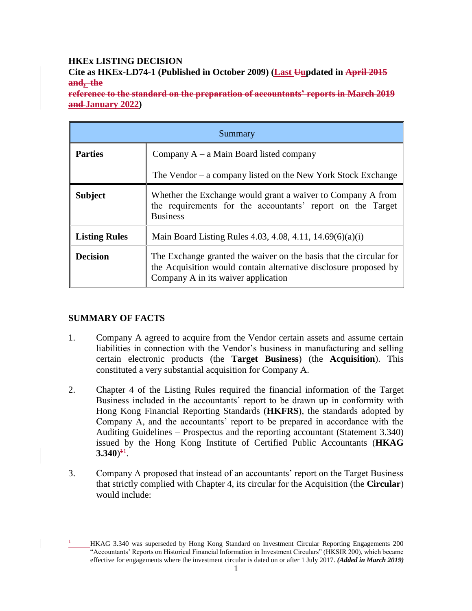# **HKEx LISTING DECISION**

**Cite as HKEx-LD74-1 (Published in October 2009) (Last Uupdated in April 2015 and, the**

**reference to the standard on the preparation of accountants' reports in March 2019 and January 2022)**

| Summary              |                                                                                                                                                                               |
|----------------------|-------------------------------------------------------------------------------------------------------------------------------------------------------------------------------|
| <b>Parties</b>       | Company $A - a$ Main Board listed company                                                                                                                                     |
|                      | The Vendor – a company listed on the New York Stock Exchange                                                                                                                  |
| <b>Subject</b>       | Whether the Exchange would grant a waiver to Company A from<br>the requirements for the accountants' report on the Target<br><b>Business</b>                                  |
| <b>Listing Rules</b> | Main Board Listing Rules 4.03, 4.08, 4.11, 14.69(6)(a)(i)                                                                                                                     |
| <b>Decision</b>      | The Exchange granted the waiver on the basis that the circular for<br>the Acquisition would contain alternative disclosure proposed by<br>Company A in its waiver application |

## **SUMMARY OF FACTS**

 $\overline{a}$ 

- 1. Company A agreed to acquire from the Vendor certain assets and assume certain liabilities in connection with the Vendor's business in manufacturing and selling certain electronic products (the **Target Business**) (the **Acquisition**). This constituted a very substantial acquisition for Company A.
- 2. Chapter 4 of the Listing Rules required the financial information of the Target Business included in the accountants' report to be drawn up in conformity with Hong Kong Financial Reporting Standards (**HKFRS**), the standards adopted by Company A, and the accountants' report to be prepared in accordance with the Auditing Guidelines – Prospectus and the reporting accountant (Statement 3.340) issued by the Hong Kong Institute of Certified Public Accountants (**HKAG**   $3.340)^{11}$ .
- 3. Company A proposed that instead of an accountants' report on the Target Business that strictly complied with Chapter 4, its circular for the Acquisition (the **Circular**) would include:

<sup>1</sup> HKAG 3.340 was superseded by Hong Kong Standard on Investment Circular Reporting Engagements 200 "Accountants' Reports on Historical Financial Information in Investment Circulars" (HKSIR 200), which became effective for engagements where the investment circular is dated on or after 1 July 2017. *(Added in March 2019)*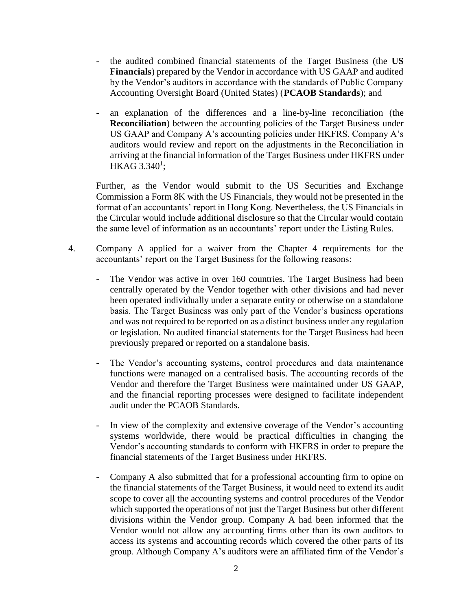- the audited combined financial statements of the Target Business (the **US Financials**) prepared by the Vendor in accordance with US GAAP and audited by the Vendor's auditors in accordance with the standards of Public Company Accounting Oversight Board (United States) (**PCAOB Standards**); and
- an explanation of the differences and a line-by-line reconciliation (the **Reconciliation**) between the accounting policies of the Target Business under US GAAP and Company A's accounting policies under HKFRS. Company A's auditors would review and report on the adjustments in the Reconciliation in arriving at the financial information of the Target Business under HKFRS under  $\rm HKAG$  3.340<sup>1</sup>;

Further, as the Vendor would submit to the US Securities and Exchange Commission a Form 8K with the US Financials, they would not be presented in the format of an accountants' report in Hong Kong. Nevertheless, the US Financials in the Circular would include additional disclosure so that the Circular would contain the same level of information as an accountants' report under the Listing Rules.

- 4. Company A applied for a waiver from the Chapter 4 requirements for the accountants' report on the Target Business for the following reasons:
	- The Vendor was active in over 160 countries. The Target Business had been centrally operated by the Vendor together with other divisions and had never been operated individually under a separate entity or otherwise on a standalone basis. The Target Business was only part of the Vendor's business operations and was not required to be reported on as a distinct business under any regulation or legislation. No audited financial statements for the Target Business had been previously prepared or reported on a standalone basis.
	- The Vendor's accounting systems, control procedures and data maintenance functions were managed on a centralised basis. The accounting records of the Vendor and therefore the Target Business were maintained under US GAAP, and the financial reporting processes were designed to facilitate independent audit under the PCAOB Standards.
	- In view of the complexity and extensive coverage of the Vendor's accounting systems worldwide, there would be practical difficulties in changing the Vendor's accounting standards to conform with HKFRS in order to prepare the financial statements of the Target Business under HKFRS.
	- Company A also submitted that for a professional accounting firm to opine on the financial statements of the Target Business, it would need to extend its audit scope to cover all the accounting systems and control procedures of the Vendor which supported the operations of not just the Target Business but other different divisions within the Vendor group. Company A had been informed that the Vendor would not allow any accounting firms other than its own auditors to access its systems and accounting records which covered the other parts of its group. Although Company A's auditors were an affiliated firm of the Vendor's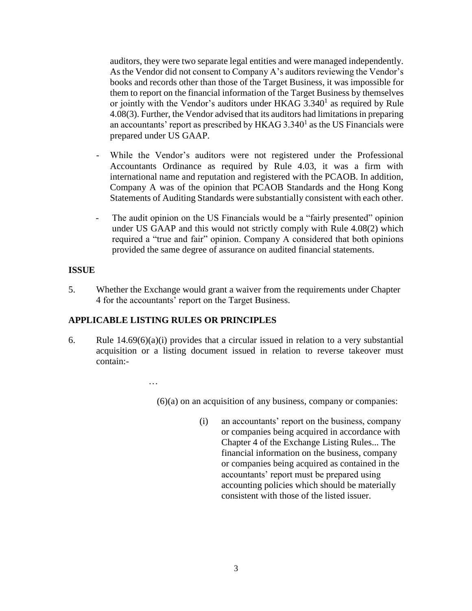auditors, they were two separate legal entities and were managed independently. As the Vendor did not consent to Company A's auditors reviewing the Vendor's books and records other than those of the Target Business, it was impossible for them to report on the financial information of the Target Business by themselves or jointly with the Vendor's auditors under HKAG  $3.340<sup>1</sup>$  as required by Rule 4.08(3). Further, the Vendor advised that its auditors had limitations in preparing an accountants' report as prescribed by  $HKAG$  3.340<sup>1</sup> as the US Financials were prepared under US GAAP.

- While the Vendor's auditors were not registered under the Professional Accountants Ordinance as required by Rule 4.03, it was a firm with international name and reputation and registered with the PCAOB. In addition, Company A was of the opinion that PCAOB Standards and the Hong Kong Statements of Auditing Standards were substantially consistent with each other.
- The audit opinion on the US Financials would be a "fairly presented" opinion under US GAAP and this would not strictly comply with Rule 4.08(2) which required a "true and fair" opinion. Company A considered that both opinions provided the same degree of assurance on audited financial statements.

#### **ISSUE**

5. Whether the Exchange would grant a waiver from the requirements under Chapter 4 for the accountants' report on the Target Business.

## **APPLICABLE LISTING RULES OR PRINCIPLES**

...

6. Rule  $14.69(6)(a)(i)$  provides that a circular issued in relation to a very substantial acquisition or a listing document issued in relation to reverse takeover must contain:-

(6)(a) on an acquisition of any business, company or companies:

(i) an accountants' report on the business, company or companies being acquired in accordance with Chapter 4 of the Exchange Listing Rules... The financial information on the business, company or companies being acquired as contained in the accountants' report must be prepared using accounting policies which should be materially consistent with those of the listed issuer.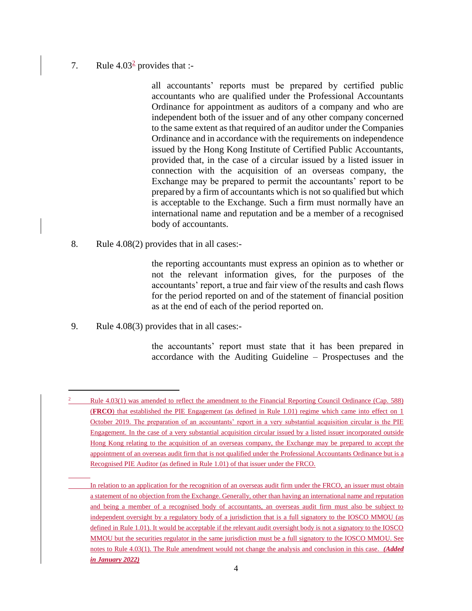### 7. Rule  $4.03<sup>2</sup>$  provides that :-

all accountants' reports must be prepared by certified public accountants who are qualified under the Professional Accountants Ordinance for appointment as auditors of a company and who are independent both of the issuer and of any other company concerned to the same extent as that required of an auditor under the Companies Ordinance and in accordance with the requirements on independence issued by the Hong Kong Institute of Certified Public Accountants, provided that, in the case of a circular issued by a listed issuer in connection with the acquisition of an overseas company, the Exchange may be prepared to permit the accountants' report to be prepared by a firm of accountants which is not so qualified but which is acceptable to the Exchange. Such a firm must normally have an international name and reputation and be a member of a recognised body of accountants.

8. Rule 4.08(2) provides that in all cases:-

the reporting accountants must express an opinion as to whether or not the relevant information gives, for the purposes of the accountants' report, a true and fair view of the results and cash flows for the period reported on and of the statement of financial position as at the end of each of the period reported on.

9. Rule 4.08(3) provides that in all cases:-

the accountants' report must state that it has been prepared in accordance with the Auditing Guideline – Prospectuses and the

<sup>2</sup> Rule 4.03(1) was amended to reflect the amendment to the Financial Reporting Council Ordinance (Cap. 588) (**FRCO**) that established the PIE Engagement (as defined in Rule 1.01) regime which came into effect on 1 October 2019. The preparation of an accountants' report in a very substantial acquisition circular is the PIE Engagement. In the case of a very substantial acquisition circular issued by a listed issuer incorporated outside Hong Kong relating to the acquisition of an overseas company, the Exchange may be prepared to accept the appointment of an overseas audit firm that is not qualified under the Professional Accountants Ordinance but is a Recognised PIE Auditor (as defined in Rule 1.01) of that issuer under the FRCO.

In relation to an application for the recognition of an overseas audit firm under the FRCO, an issuer must obtain a statement of no objection from the Exchange. Generally, other than having an international name and reputation and being a member of a recognised body of accountants, an overseas audit firm must also be subject to independent oversight by a regulatory body of a jurisdiction that is a full signatory to the IOSCO MMOU (as defined in Rule 1.01). It would be acceptable if the relevant audit oversight body is not a signatory to the IOSCO MMOU but the securities regulator in the same jurisdiction must be a full signatory to the IOSCO MMOU. See notes to Rule 4.03(1). The Rule amendment would not change the analysis and conclusion in this case*. (Added in January 2022)*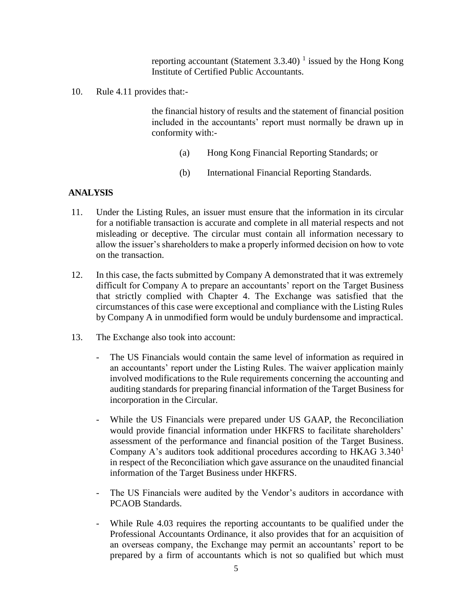reporting accountant (Statement  $3.3.40$ )<sup>1</sup> issued by the Hong Kong Institute of Certified Public Accountants.

10. Rule 4.11 provides that:-

the financial history of results and the statement of financial position included in the accountants' report must normally be drawn up in conformity with:-

- (a) Hong Kong Financial Reporting Standards; or
- (b) International Financial Reporting Standards.

### **ANALYSIS**

- 11. Under the Listing Rules, an issuer must ensure that the information in its circular for a notifiable transaction is accurate and complete in all material respects and not misleading or deceptive. The circular must contain all information necessary to allow the issuer's shareholders to make a properly informed decision on how to vote on the transaction.
- 12. In this case, the facts submitted by Company A demonstrated that it was extremely difficult for Company A to prepare an accountants' report on the Target Business that strictly complied with Chapter 4. The Exchange was satisfied that the circumstances of this case were exceptional and compliance with the Listing Rules by Company A in unmodified form would be unduly burdensome and impractical.
- 13. The Exchange also took into account:
	- The US Financials would contain the same level of information as required in an accountants' report under the Listing Rules. The waiver application mainly involved modifications to the Rule requirements concerning the accounting and auditing standards for preparing financial information of the Target Business for incorporation in the Circular.
	- While the US Financials were prepared under US GAAP, the Reconciliation would provide financial information under HKFRS to facilitate shareholders' assessment of the performance and financial position of the Target Business. Company A's auditors took additional procedures according to  $HKAG$  3.340<sup>1</sup> in respect of the Reconciliation which gave assurance on the unaudited financial information of the Target Business under HKFRS.
	- The US Financials were audited by the Vendor's auditors in accordance with PCAOB Standards.
	- While Rule 4.03 requires the reporting accountants to be qualified under the Professional Accountants Ordinance, it also provides that for an acquisition of an overseas company, the Exchange may permit an accountants' report to be prepared by a firm of accountants which is not so qualified but which must